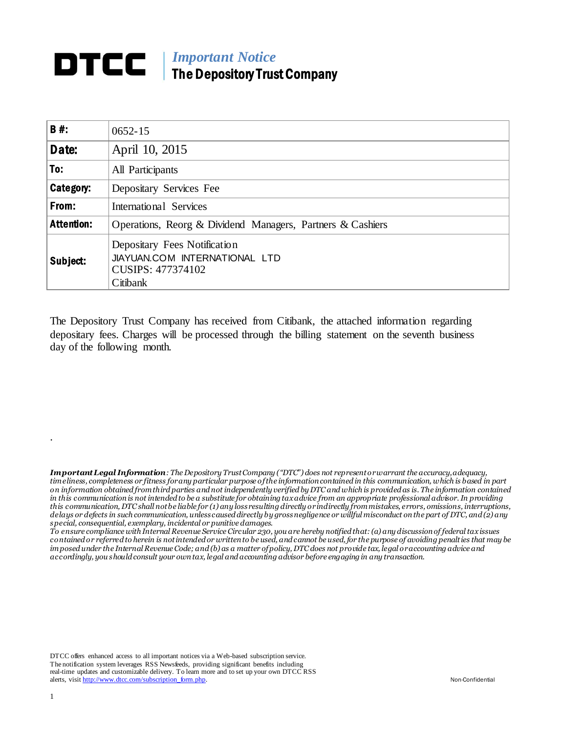## *Important Notice* The Depository Trust Company

| <b>B#:</b>        | $0652 - 15$                                                                                    |  |  |  |  |
|-------------------|------------------------------------------------------------------------------------------------|--|--|--|--|
| Date:             | April 10, 2015                                                                                 |  |  |  |  |
| To:               | All Participants                                                                               |  |  |  |  |
| Category:         | Depositary Services Fee                                                                        |  |  |  |  |
| From:             | International Services                                                                         |  |  |  |  |
| <b>Attention:</b> | Operations, Reorg & Dividend Managers, Partners & Cashiers                                     |  |  |  |  |
| Subject:          | Depositary Fees Notification<br>JIAYUAN.COM INTERNATIONAL LTD<br>CUSIPS: 477374102<br>Citibank |  |  |  |  |

The Depository Trust Company has received from Citibank, the attached information regarding depositary fees. Charges will be processed through the billing statement on the seventh business day of the following month.

*Important Legal Information: The Depository Trust Company ("DTC") does not represent or warrant the accuracy, adequacy, timeliness, completeness or fitness for any particular purpose of the information contained in this communication, which is based in part on information obtained from third parties and not independently verified by DTC and which is provided as is. The information contained in this communication is not intended to be a substitute for obtaining tax advice from an appropriate professional advisor. In providing this communication, DTC shall not be liable for (1) any loss resulting directly or indirectly from mistakes, errors, omissions, interruptions, delays or defects in such communication, unless caused directly by gross negligence or willful misconduct on the part of DTC, and (2) any special, consequential, exemplary, incidental or punitive damages.*

*To ensure compliance with Internal Revenue Service Circular 230, you are hereby notified that: (a) any discussion of federal tax issues contained or referred to herein is not intended or written to be used, and cannot be used, for the purpose of avoiding penalties that may be imposed under the Internal Revenue Code; and (b) as a matter of policy, DTC does not provide tax, legal or accounting advice and accordingly, you should consult your own tax, legal and accounting advisor before engaging in any transaction.*

DTCC offers enhanced access to all important notices via a Web-based subscription service. The notification system leverages RSS Newsfeeds, providing significant benefits including real-time updates and customizable delivery. To learn more and to set up your own DTCC RSS alerts, visi[t http://www.dtcc.com/subscription\\_form.php.](http://www.dtcc.com/subscription_form.php) Non-Confidential

.